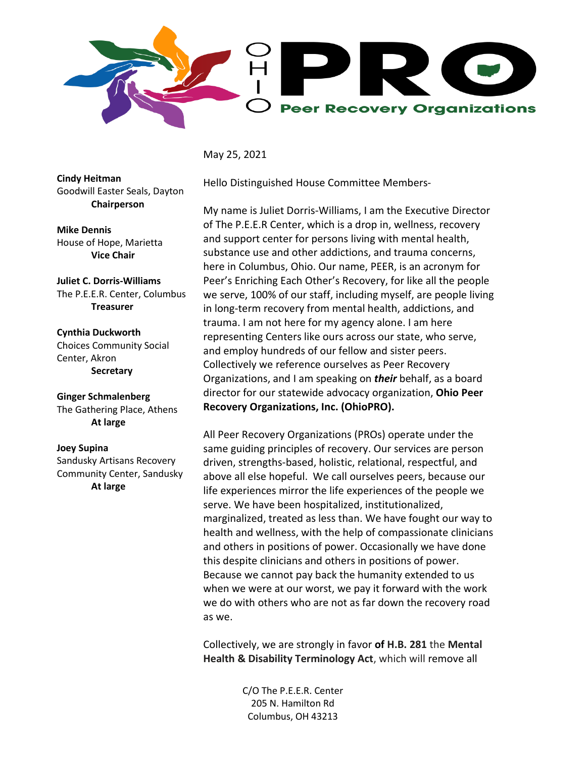

May 25, 2021

**Cindy Heitman** Goodwill Easter Seals, Dayton **Chairperson**

**Mike Dennis** House of Hope, Marietta **Vice Chair**

**Juliet C. Dorris-Williams** The P.E.E.R. Center, Columbus **Treasurer**

**Cynthia Duckworth**  Choices Community Social Center, Akron **Secretary**

**Ginger Schmalenberg** The Gathering Place, Athens **At large**

## **Joey Supina**

Sandusky Artisans Recovery Community Center, Sandusky **At large**

Hello Distinguished House Committee Members-

My name is Juliet Dorris-Williams, I am the Executive Director of The P.E.E.R Center, which is a drop in, wellness, recovery and support center for persons living with mental health, substance use and other addictions, and trauma concerns, here in Columbus, Ohio. Our name, PEER, is an acronym for Peer's Enriching Each Other's Recovery, for like all the people we serve, 100% of our staff, including myself, are people living in long-term recovery from mental health, addictions, and trauma. I am not here for my agency alone. I am here representing Centers like ours across our state, who serve, and employ hundreds of our fellow and sister peers. Collectively we reference ourselves as Peer Recovery Organizations, and I am speaking on *their* behalf, as a board director for our statewide advocacy organization, **Ohio Peer Recovery Organizations, Inc. (OhioPRO).**

All Peer Recovery Organizations (PROs) operate under the same guiding principles of recovery. Our services are person driven, strengths-based, holistic, relational, respectful, and above all else hopeful. We call ourselves peers, because our life experiences mirror the life experiences of the people we serve. We have been hospitalized, institutionalized, marginalized, treated as less than. We have fought our way to health and wellness, with the help of compassionate clinicians and others in positions of power. Occasionally we have done this despite clinicians and others in positions of power. Because we cannot pay back the humanity extended to us when we were at our worst, we pay it forward with the work we do with others who are not as far down the recovery road as we.

Collectively, we are strongly in favor **of H.B. 281** the **Mental Health & Disability Terminology Act**, which will remove all

> C/O The P.E.E.R. Center 205 N. Hamilton Rd Columbus, OH 43213